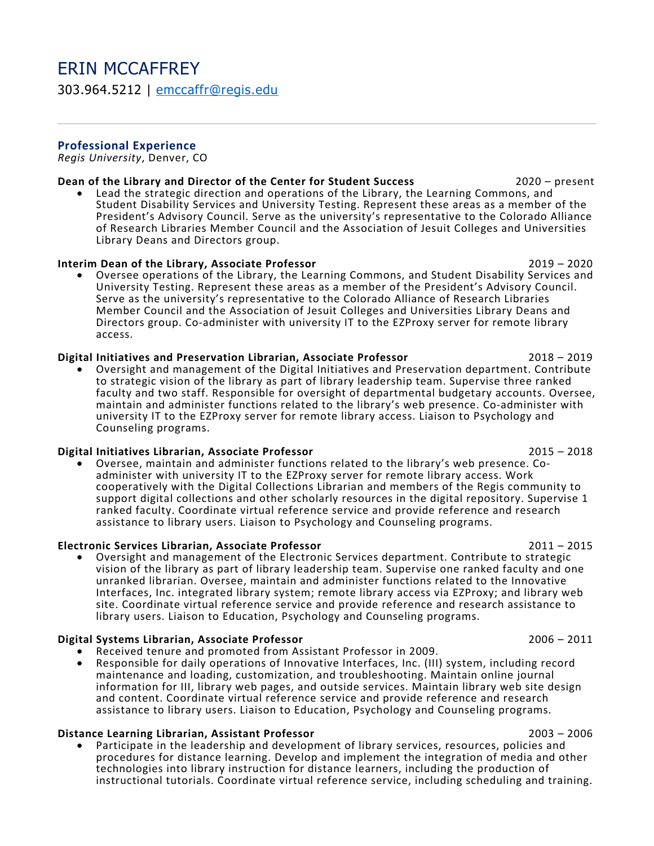# ERIN MCCAFFREY 303.964.5212 | [emccaffr@regis.edu](mailto:emccaffr@regis.edu)

### **Professional Experience**

*Regis University*, Denver, CO

**Dean of the Library and Director of the Center for Student Success** 2020 – 2020 – present • Lead the strategic direction and operations of the Library, the Learning Commons, and Student Disability Services and University Testing. Represent these areas as a member of the President's Advisory Council. Serve as the university's representative to the Colorado Alliance of Research Libraries Member Council and the Association of Jesuit Colleges and Universities Library Deans and Directors group.

### **Interim Dean of the Library, Associate Professor** 2019 – 2020

• Oversee operations of the Library, the Learning Commons, and Student Disability Services and University Testing. Represent these areas as a member of the President's Advisory Council. Serve as the university's representative to the Colorado Alliance of Research Libraries Member Council and the Association of Jesuit Colleges and Universities Library Deans and Directors group. Co-administer with university IT to the EZProxy server for remote library access.

**Digital Initiatives and Preservation Librarian, Associate Professor** 2018 – <sup>2019</sup> • Oversight and management of the Digital Initiatives and Preservation department. Contribute to strategic vision of the library as part of library leadership team. Supervise three ranked faculty and two staff. Responsible for oversight of departmental budgetary accounts. Oversee, maintain and administer functions related to the library's web presence. Co-administer with university IT to the EZProxy server for remote library access. Liaison to Psychology and Counseling programs.

**Digital Initiatives Librarian, Associate Professor**<br>**■** Oversee, maintain and administer functions related to the library's web presence. Coadminister with university IT to the EZProxy server for remote library access. Work cooperatively with the Digital Collections Librarian and members of the Regis community to support digital collections and other scholarly resources in the digital repository. Supervise 1 ranked faculty. Coordinate virtual reference service and provide reference and research assistance to library users. Liaison to Psychology and Counseling programs.

**Electronic Services Librarian, Associate Professor** 2011 – <sup>2015</sup> • Oversight and management of the Electronic Services department. Contribute to strategic vision of the library as part of library leadership team. Supervise one ranked faculty and one unranked librarian. Oversee, maintain and administer functions related to the Innovative Interfaces, Inc. integrated library system; remote library access via EZProxy; and library web site. Coordinate virtual reference service and provide reference and research assistance to library users. Liaison to Education, Psychology and Counseling programs.

- 
- Digital Systems Librarian, Associate Professor<br>• Received tenure and promoted from Assistant Professor in 2009.<br>• Responsible for daily operations of Innovative Interfaces, Inc. (III) system, including record maintenance and loading, customization, and troubleshooting. Maintain online journal information for III, library web pages, and outside services. Maintain library web site design and content. Coordinate virtual reference service and provide reference and research assistance to library users. Liaison to Education, Psychology and Counseling programs.

**Distance Learning Librarian, Assistant Professor** 2003 – <sup>2006</sup> • Participate in the leadership and development of library services, resources, policies and procedures for distance learning. Develop and implement the integration of media and other technologies into library instruction for distance learners, including the production of instructional tutorials. Coordinate virtual reference service, including scheduling and training.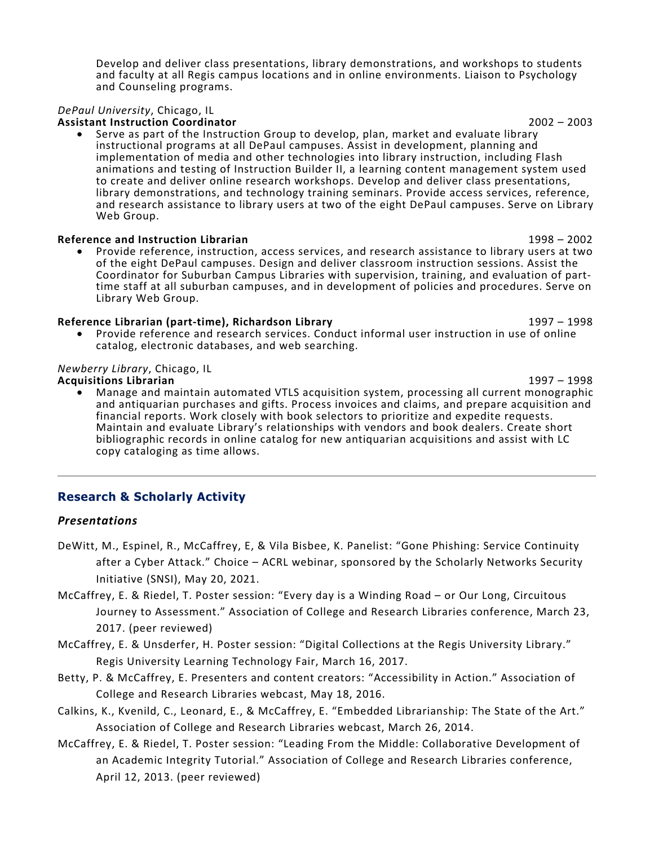Develop and deliver class presentations, library demonstrations, and workshops to students and faculty at all Regis campus locations and in online environments. Liaison to Psychology and Counseling programs.

## *DePaul University*, Chicago, IL

**Assistant Instruction Coordinator** 2002 – 2003

• Serve as part of the Instruction Group to develop, plan, market and evaluate library instructional programs at all DePaul campuses. Assist in development, planning and implementation of media and other technologies into library instruction, including Flash animations and testing of Instruction Builder II, a learning content management system used to create and deliver online research workshops. Develop and deliver class presentations, library demonstrations, and technology training seminars. Provide access services, reference, and research assistance to library users at two of the eight DePaul campuses. Serve on Library Web Group.

**Reference and Instruction Librarian** 1998 – <sup>2002</sup> • Provide reference, instruction, access services, and research assistance to library users at two of the eight DePaul campuses. Design and deliver classroom instruction sessions. Assist the<br>Coordinator for Suburban Campus Libraries with supervision, training, and evaluation of parttime staff at all suburban campuses, and in development of policies and procedures. Serve on Library Web Group.

### **Reference Librarian (part-time), Richardson Library** 1997 – 1998

• Provide reference and research services. Conduct informal user instruction in use of online catalog, electronic databases, and web searching.

# *Newberry Library*, Chicago, IL

**Acquisitions Librarian** 1997 – <sup>1998</sup> • Manage and maintain automated VTLS acquisition system, processing all current monographic and antiquarian purchases and gifts. Process invoices and claims, and prepare acquisition and financial reports. Work closely with book selectors to prioritize and expedite requests. Maintain and evaluate Library's relationships with vendors and book dealers. Create short bibliographic records in online catalog for new antiquarian acquisitions and assist with LC copy cataloging as time allows.

# **Research & Scholarly Activity**

### *Presentations*

- DeWitt, M., Espinel, R., McCaffrey, E, & Vila Bisbee, K. Panelist: "Gone Phishing: Service Continuity after a Cyber Attack." Choice – ACRL webinar, sponsored by the Scholarly Networks Security Initiative (SNSI), May 20, 2021.
- McCaffrey, E. & Riedel, T. Poster session: "Every day is a Winding Road or Our Long, Circuitous Journey to Assessment." Association of College and Research Libraries conference, March 23, 2017. (peer reviewed)
- McCaffrey, E. & Unsderfer, H. Poster session: "Digital Collections at the Regis University Library." Regis University Learning Technology Fair, March 16, 2017.
- Betty, P. & McCaffrey, E. Presenters and content creators: "Accessibility in Action." Association of College and Research Libraries webcast, May 18, 2016.
- Calkins, K., Kvenild, C., Leonard, E., & McCaffrey, E. "Embedded Librarianship: The State of the Art." Association of College and Research Libraries webcast, March 26, 2014.
- McCaffrey, E. & Riedel, T. Poster session: "Leading From the Middle: Collaborative Development of an Academic Integrity Tutorial." Association of College and Research Libraries conference, April 12, 2013. (peer reviewed)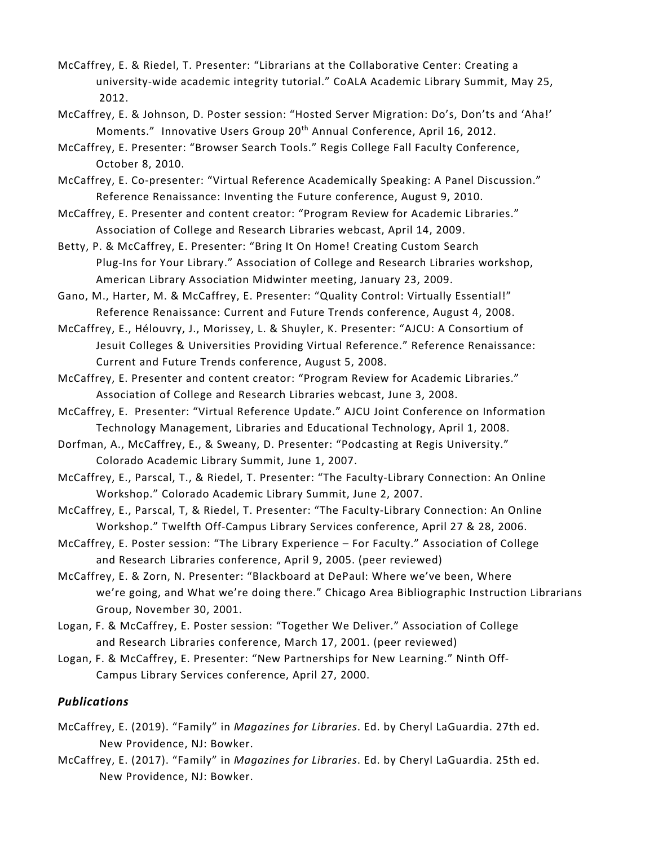- McCaffrey, E. & Riedel, T. Presenter: "Librarians at the Collaborative Center: Creating a university-wide academic integrity tutorial." CoALA Academic Library Summit, May 25, 2012.
- McCaffrey, E. & Johnson, D. Poster session: "Hosted Server Migration: Do's, Don'ts and 'Aha!' Moments." Innovative Users Group 20<sup>th</sup> Annual Conference, April 16, 2012.
- McCaffrey, E. Presenter: "Browser Search Tools." Regis College Fall Faculty Conference, October 8, 2010.
- McCaffrey, E. Co-presenter: "Virtual Reference Academically Speaking: A Panel Discussion." Reference Renaissance: Inventing the Future conference, August 9, 2010.
- McCaffrey, E. Presenter and content creator: "Program Review for Academic Libraries." Association of College and Research Libraries webcast, April 14, 2009.
- Betty, P. & McCaffrey, E. Presenter: "Bring It On Home! Creating Custom Search Plug-Ins for Your Library." Association of College and Research Libraries workshop, American Library Association Midwinter meeting, January 23, 2009.
- Gano, M., Harter, M. & McCaffrey, E. Presenter: "Quality Control: Virtually Essential!" Reference Renaissance: Current and Future Trends conference, August 4, 2008.
- McCaffrey, E., Hélouvry, J., Morissey, L. & Shuyler, K. Presenter: "AJCU: A Consortium of Jesuit Colleges & Universities Providing Virtual Reference." Reference Renaissance: Current and Future Trends conference, August 5, 2008.
- McCaffrey, E. Presenter and content creator: "Program Review for Academic Libraries." Association of College and Research Libraries webcast, June 3, 2008.
- McCaffrey, E. Presenter: "Virtual Reference Update." AJCU Joint Conference on Information Technology Management, Libraries and Educational Technology, April 1, 2008.
- Dorfman, A., McCaffrey, E., & Sweany, D. Presenter: "Podcasting at Regis University." Colorado Academic Library Summit, June 1, 2007.
- McCaffrey, E., Parscal, T., & Riedel, T. Presenter: "The Faculty-Library Connection: An Online Workshop." Colorado Academic Library Summit, June 2, 2007.
- McCaffrey, E., Parscal, T, & Riedel, T. Presenter: "The Faculty-Library Connection: An Online Workshop." Twelfth Off-Campus Library Services conference, April 27 & 28, 2006.
- McCaffrey, E. Poster session: "The Library Experience For Faculty." Association of College and Research Libraries conference, April 9, 2005. (peer reviewed)
- McCaffrey, E. & Zorn, N. Presenter: "Blackboard at DePaul: Where we've been, Where we're going, and What we're doing there." Chicago Area Bibliographic Instruction Librarians Group, November 30, 2001.
- Logan, F. & McCaffrey, E. Poster session: "Together We Deliver." Association of College and Research Libraries conference, March 17, 2001. (peer reviewed)
- Logan, F. & McCaffrey, E. Presenter: "New Partnerships for New Learning." Ninth Off-Campus Library Services conference, April 27, 2000.

# *Publications*

- McCaffrey, E. (2019). "Family" in *Magazines for Libraries*. Ed. by Cheryl LaGuardia. 27th ed. New Providence, NJ: Bowker.
- McCaffrey, E. (2017). "Family" in *Magazines for Libraries*. Ed. by Cheryl LaGuardia. 25th ed. New Providence, NJ: Bowker.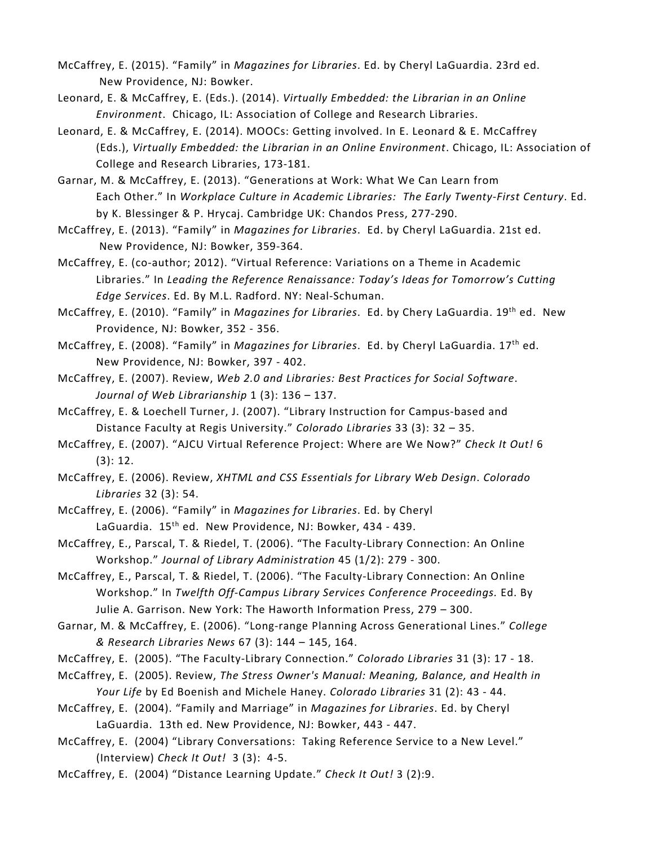McCaffrey, E. (2015). "Family" in *Magazines for Libraries*. Ed. by Cheryl LaGuardia. 23rd ed. New Providence, NJ: Bowker.

Leonard, E. & McCaffrey, E. (Eds.). (2014). *Virtually Embedded: the Librarian in an Online Environment*. Chicago, IL: Association of College and Research Libraries.

Leonard, E. & McCaffrey, E. (2014). MOOCs: Getting involved. In E. Leonard & E. McCaffrey (Eds.), *Virtually Embedded: the Librarian in an Online Environment*. Chicago, IL: Association of College and Research Libraries, 173-181.

Garnar, M. & McCaffrey, E. (2013). "Generations at Work: What We Can Learn from Each Other." In *Workplace Culture in Academic Libraries: The Early Twenty-First Century*. Ed. by K. Blessinger & P. Hrycaj. Cambridge UK: Chandos Press, 277-290.

McCaffrey, E. (2013). "Family" in *Magazines for Libraries*. Ed. by Cheryl LaGuardia. 21st ed. New Providence, NJ: Bowker, 359-364.

McCaffrey, E. (co-author; 2012). "Virtual Reference: Variations on a Theme in Academic Libraries." In *Leading the Reference Renaissance: Today's Ideas for Tomorrow's Cutting Edge Services*. Ed. By M.L. Radford. NY: Neal-Schuman.

McCaffrey, E. (2010). "Family" in *Magazines for Libraries*. Ed. by Chery LaGuardia. 19th ed. New Providence, NJ: Bowker, 352 - 356.

McCaffrey, E. (2008). "Family" in *Magazines for Libraries*. Ed. by Cheryl LaGuardia. 17th ed. New Providence, NJ: Bowker, 397 - 402.

McCaffrey, E. (2007). Review, *Web 2.0 and Libraries: Best Practices for Social Software*. *Journal of Web Librarianship* 1 (3): 136 – 137.

McCaffrey, E. & Loechell Turner, J. (2007). "Library Instruction for Campus-based and Distance Faculty at Regis University." *Colorado Libraries* 33 (3): 32 – 35.

McCaffrey, E. (2007). "AJCU Virtual Reference Project: Where are We Now?" *Check It Out!* 6 (3): 12.

McCaffrey, E. (2006). Review, *XHTML and CSS Essentials for Library Web Design*. *Colorado Libraries* 32 (3): 54.

McCaffrey, E. (2006). "Family" in *Magazines for Libraries*. Ed. by Cheryl LaGuardia. 15<sup>th</sup> ed. New Providence, NJ: Bowker, 434 - 439.

McCaffrey, E., Parscal, T. & Riedel, T. (2006). "The Faculty-Library Connection: An Online Workshop." *Journal of Library Administration* 45 (1/2): 279 - 300.

McCaffrey, E., Parscal, T. & Riedel, T. (2006). "The Faculty-Library Connection: An Online Workshop." In *Twelfth Off-Campus Library Services Conference Proceedings.* Ed. By Julie A. Garrison. New York: The Haworth Information Press, 279 – 300.

Garnar, M. & McCaffrey, E. (2006). "Long-range Planning Across Generational Lines." *College & Research Libraries News* 67 (3): 144 – 145, 164.

McCaffrey, E. (2005). "The Faculty-Library Connection." *Colorado Libraries* 31 (3): 17 - 18.

McCaffrey, E. (2005). Review, *The Stress Owner's Manual: Meaning, Balance, and Health in Your Life* by Ed Boenish and Michele Haney. *Colorado Libraries* 31 (2): 43 - 44.

McCaffrey, E. (2004). "Family and Marriage" in *Magazines for Libraries*. Ed. by Cheryl LaGuardia. 13th ed. New Providence, NJ: Bowker, 443 - 447.

McCaffrey, E. (2004) "Library Conversations: Taking Reference Service to a New Level." (Interview) *Check It Out!* 3 (3): 4-5.

McCaffrey, E. (2004) "Distance Learning Update." *Check It Out!* 3 (2):9.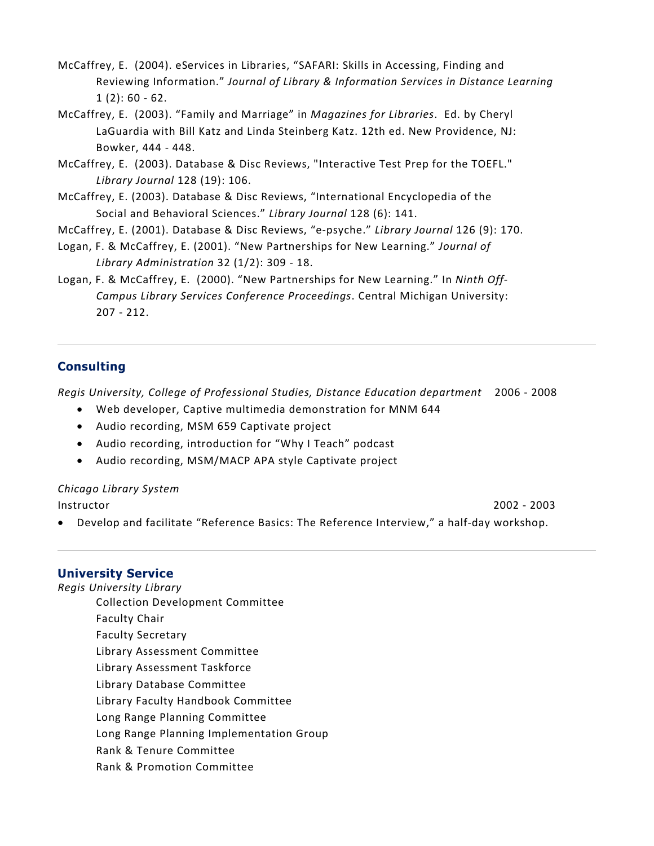- McCaffrey, E. (2004). eServices in Libraries, "SAFARI: Skills in Accessing, Finding and Reviewing Information." *Journal of Library & Information Services in Distance Learning*  $1(2): 60 - 62.$
- McCaffrey, E. (2003). "Family and Marriage" in *Magazines for Libraries*. Ed. by Cheryl LaGuardia with Bill Katz and Linda Steinberg Katz. 12th ed. New Providence, NJ: Bowker, 444 - 448.
- McCaffrey, E. (2003). Database & Disc Reviews, "Interactive Test Prep for the TOEFL." *Library Journal* 128 (19): 106.
- McCaffrey, E. (2003). Database & Disc Reviews, "International Encyclopedia of the Social and Behavioral Sciences." *Library Journal* 128 (6): 141.
- McCaffrey, E. (2001). Database & Disc Reviews, "e-psyche." *Library Journal* 126 (9): 170.
- Logan, F. & McCaffrey, E. (2001). "New Partnerships for New Learning." *Journal of Library Administration* 32 (1/2): 309 - 18.
- Logan, F. & McCaffrey, E. (2000). "New Partnerships for New Learning." In *Ninth Off-Campus Library Services Conference Proceedings*. Central Michigan University: 207 - 212.

# **Consulting**

*Regis University, College of Professional Studies, Distance Education department* 2006 - 2008

- Web developer, Captive multimedia demonstration for MNM 644
- Audio recording, MSM 659 Captivate project
- Audio recording, introduction for "Why I Teach" podcast
- Audio recording, MSM/MACP APA style Captivate project

# *Chicago Library System*

Instructor2002 - 2003

• Develop and facilitate "Reference Basics: The Reference Interview," a half-day workshop.

# **University Service**

- *Regis University Library* Collection Development Committee Faculty Chair Faculty Secretary Library Assessment Committee Library Assessment Taskforce Library Database Committee Library Faculty Handbook Committee Long Range Planning Committee Long Range Planning Implementation Group Rank & Tenure Committee
	- Rank & Promotion Committee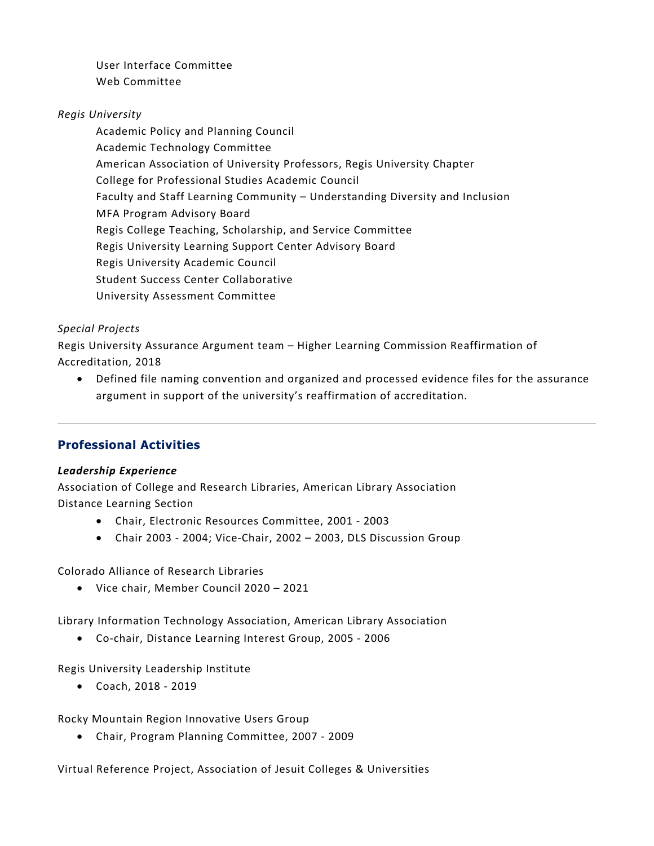User Interface Committee Web Committee

# *Regis University*

Academic Policy and Planning Council Academic Technology Committee American Association of University Professors, Regis University Chapter College for Professional Studies Academic Council Faculty and Staff Learning Community – Understanding Diversity and Inclusion MFA Program Advisory Board Regis College Teaching, Scholarship, and Service Committee Regis University Learning Support Center Advisory Board Regis University Academic Council Student Success Center Collaborative University Assessment Committee

# *Special Projects*

Regis University Assurance Argument team – Higher Learning Commission Reaffirmation of Accreditation, 2018

• Defined file naming convention and organized and processed evidence files for the assurance argument in support of the university's reaffirmation of accreditation.

# **Professional Activities**

# *Leadership Experience*

Association of College and Research Libraries, American Library Association Distance Learning Section

- Chair, Electronic Resources Committee, 2001 2003
- Chair 2003 2004; Vice-Chair, 2002 2003, DLS Discussion Group

Colorado Alliance of Research Libraries

• Vice chair, Member Council 2020 – 2021

Library Information Technology Association, American Library Association

• Co-chair, Distance Learning Interest Group, 2005 - 2006

Regis University Leadership Institute

• Coach, 2018 - 2019

Rocky Mountain Region Innovative Users Group

• Chair, Program Planning Committee, 2007 - 2009

Virtual Reference Project, Association of Jesuit Colleges & Universities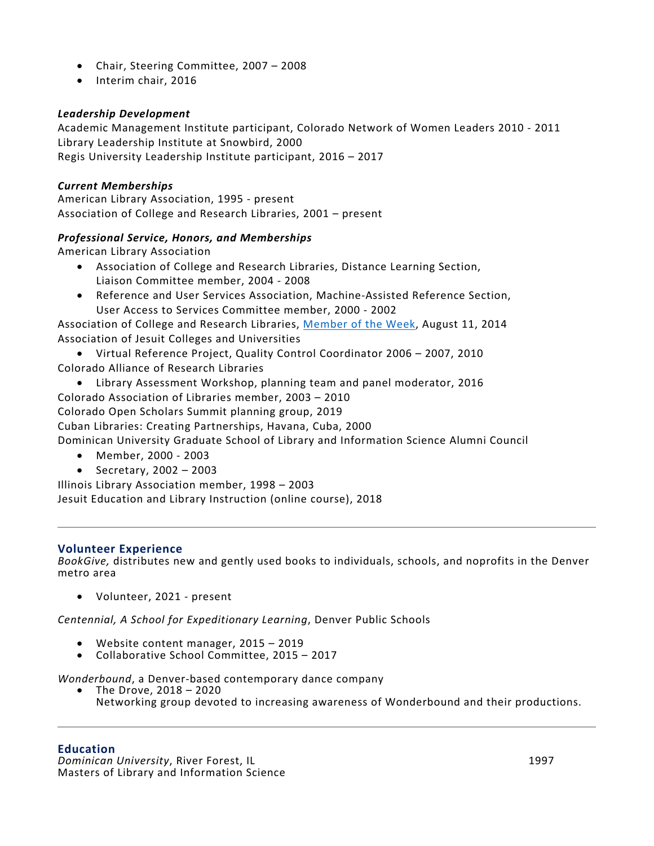- Chair, Steering Committee, 2007 2008
- Interim chair, 2016

# *Leadership Development*

Academic Management Institute participant, Colorado Network of Women Leaders 2010 - 2011 Library Leadership Institute at Snowbird, 2000 Regis University Leadership Institute participant, 2016 – 2017

## *Current Memberships*

American Library Association, 1995 - present Association of College and Research Libraries, 2001 – present

## *Professional Service, Honors, and Memberships*

American Library Association

- Association of College and Research Libraries, Distance Learning Section, Liaison Committee member, 2004 - 2008
- Reference and User Services Association, Machine-Assisted Reference Section, User Access to Services Committee member, 2000 - 2002

Association of College and Research Libraries, [Member of the Week,](https://www.acrl.ala.org/acrlinsider/archives/9032) August 11, 2014 Association of Jesuit Colleges and Universities

• Virtual Reference Project, Quality Control Coordinator 2006 – 2007, 2010 Colorado Alliance of Research Libraries

• Library Assessment Workshop, planning team and panel moderator, 2016

Colorado Association of Libraries member, 2003 – 2010

Colorado Open Scholars Summit planning group, 2019

Cuban Libraries: Creating Partnerships, Havana, Cuba, 2000

Dominican University Graduate School of Library and Information Science Alumni Council

- Member, 2000 2003
- Secretary, 2002 2003

Illinois Library Association member, 1998 – 2003 Jesuit Education and Library Instruction (online course), 2018

# **Volunteer Experience**

*BookGive,* distributes new and gently used books to individuals, schools, and noprofits in the Denver metro area

• Volunteer, 2021 - present

*Centennial, A School for Expeditionary Learning*, Denver Public Schools

- 
- Website content manager, 2015 <sup>2019</sup> Collaborative School Committee, 2015 <sup>2017</sup>

*Wonderbound*, a Denver-based contemporary dance company • The Drove, 2018 – <sup>2020</sup>

Networking group devoted to increasing awareness of Wonderbound and their productions.

# **Education**

*Dominican University*, River Forest, IL 1997 Masters of Library and Information Science